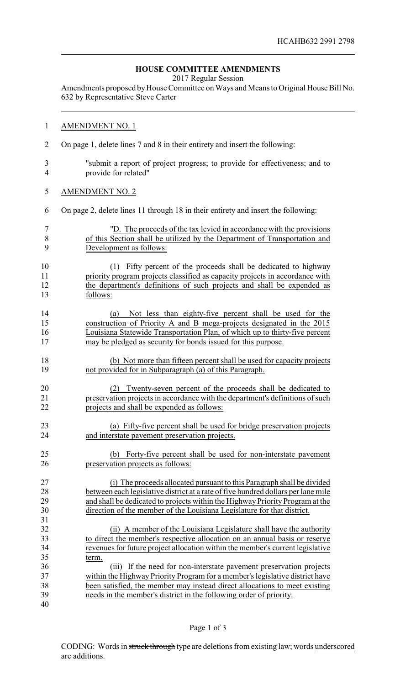## **HOUSE COMMITTEE AMENDMENTS**

2017 Regular Session

Amendments proposed by House Committee on Ways and Means to Original House Bill No. 632 by Representative Steve Carter

## AMENDMENT NO. 1

- On page 1, delete lines 7 and 8 in their entirety and insert the following:
- "submit a report of project progress; to provide for effectiveness; and to provide for related"
- AMENDMENT NO. 2

On page 2, delete lines 11 through 18 in their entirety and insert the following:

|     | "D. The proceeds of the tax levied in accordance with the provisions      |
|-----|---------------------------------------------------------------------------|
| -8  | of this Section shall be utilized by the Department of Transportation and |
| - Q | Development as follows:                                                   |

- (1) Fifty percent of the proceeds shall be dedicated to highway priority program projects classified as capacity projects in accordance with the department's definitions of such projects and shall be expended as follows:
- (a) Not less than eighty-five percent shall be used for the construction of Priority A and B mega-projects designated in the 2015 Louisiana Statewide Transportation Plan, of which up to thirty-five percent may be pledged as security for bonds issued for this purpose.
- (b) Not more than fifteen percent shall be used for capacity projects not provided for in Subparagraph (a) of this Paragraph.
- (2) Twenty-seven percent of the proceeds shall be dedicated to preservation projects in accordance with the department's definitions of such projects and shall be expended as follows:
- (a) Fifty-five percent shall be used for bridge preservation projects and interstate pavement preservation projects.

 (b) Forty-five percent shall be used for non-interstate pavement preservation projects as follows:

 (i) The proceeds allocated pursuant to this Paragraph shall be divided between each legislative district at a rate of five hundred dollars per lane mile and shall be dedicated to projects within the Highway Priority Program at the direction of the member of the Louisiana Legislature for that district.

 (ii) A member of the Louisiana Legislature shall have the authority to direct the member's respective allocation on an annual basis or reserve revenues for future project allocation within the member's current legislative term.

 (iii) If the need for non-interstate pavement preservation projects within the Highway Priority Program for a member's legislative district have been satisfied, the member may instead direct allocations to meet existing needs in the member's district in the following order of priority: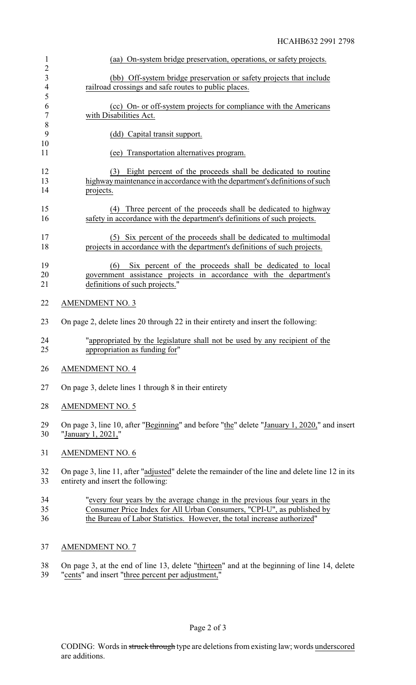| $\mathbf{1}$<br>$\overline{2}$ | (aa) On-system bridge preservation, operations, or safety projects.                                                                                                                                                            |
|--------------------------------|--------------------------------------------------------------------------------------------------------------------------------------------------------------------------------------------------------------------------------|
| 3<br>$\overline{4}$            | (bb) Off-system bridge preservation or safety projects that include<br>railroad crossings and safe routes to public places.                                                                                                    |
| 5<br>6<br>$\overline{7}$       | (cc) On- or off-system projects for compliance with the Americans<br>with Disabilities Act.                                                                                                                                    |
| $\,8\,$<br>9<br>10             | (dd) Capital transit support.                                                                                                                                                                                                  |
| 11                             | Transportation alternatives program.<br>(ee)                                                                                                                                                                                   |
| 12<br>13<br>14                 | Eight percent of the proceeds shall be dedicated to routine<br>(3)<br>highway maintenance in accordance with the department's definitions of such<br>projects.                                                                 |
| 15<br>16                       | (4) Three percent of the proceeds shall be dedicated to highway<br>safety in accordance with the department's definitions of such projects.                                                                                    |
| 17<br>18                       | Six percent of the proceeds shall be dedicated to multimodal<br>(5)<br>projects in accordance with the department's definitions of such projects.                                                                              |
| 19<br>20<br>21                 | (6)<br>Six percent of the proceeds shall be dedicated to local<br>government assistance projects in accordance with the department's<br>definitions of such projects."                                                         |
| 22                             | <b>AMENDMENT NO. 3</b>                                                                                                                                                                                                         |
| 23                             | On page 2, delete lines 20 through 22 in their entirety and insert the following:                                                                                                                                              |
| 24<br>25                       | "appropriated by the legislature shall not be used by any recipient of the<br>appropriation as funding for"                                                                                                                    |
| 26                             | <b>AMENDMENT NO. 4</b>                                                                                                                                                                                                         |
| 27                             | On page 3, delete lines 1 through 8 in their entirety                                                                                                                                                                          |
| 28                             | <b>AMENDMENT NO. 5</b>                                                                                                                                                                                                         |
| 29<br>30                       | On page 3, line 10, after "Beginning" and before "the" delete "January 1, 2020," and insert<br>"January 1, 2021,"                                                                                                              |
| 31                             | <b>AMENDMENT NO. 6</b>                                                                                                                                                                                                         |
| 32<br>33                       | On page 3, line 11, after "adjusted" delete the remainder of the line and delete line 12 in its<br>entirety and insert the following:                                                                                          |
| 34<br>35<br>36                 | "every four years by the average change in the previous four years in the<br>Consumer Price Index for All Urban Consumers, "CPI-U", as published by<br>the Bureau of Labor Statistics. However, the total increase authorized" |
| 37                             | <b>AMENDMENT NO. 7</b>                                                                                                                                                                                                         |
|                                |                                                                                                                                                                                                                                |

38 On page 3, at the end of line 13, delete "thirteen" and at the beginning of line 14, delete 39 "cents" and insert "three percent per adjustment,"